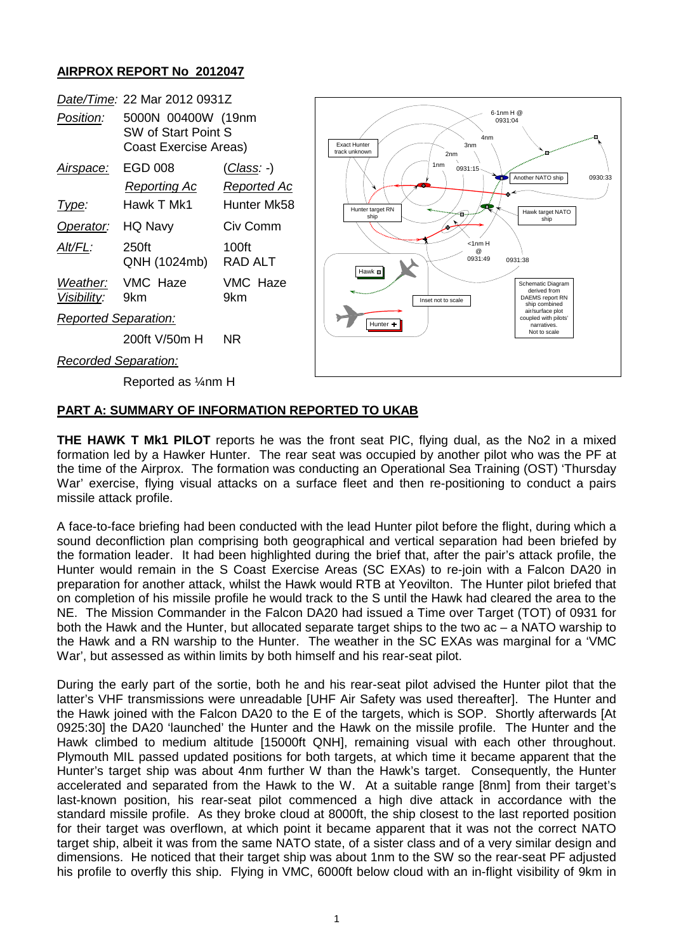### **AIRPROX REPORT No 2012047**



# **PART A: SUMMARY OF INFORMATION REPORTED TO UKAB**

**THE HAWK T Mk1 PILOT** reports he was the front seat PIC, flying dual, as the No2 in a mixed formation led by a Hawker Hunter. The rear seat was occupied by another pilot who was the PF at the time of the Airprox. The formation was conducting an Operational Sea Training (OST) 'Thursday War' exercise, flying visual attacks on a surface fleet and then re-positioning to conduct a pairs missile attack profile.

A face-to-face briefing had been conducted with the lead Hunter pilot before the flight, during which a sound deconfliction plan comprising both geographical and vertical separation had been briefed by the formation leader. It had been highlighted during the brief that, after the pair's attack profile, the Hunter would remain in the S Coast Exercise Areas (SC EXAs) to re-join with a Falcon DA20 in preparation for another attack, whilst the Hawk would RTB at Yeovilton. The Hunter pilot briefed that on completion of his missile profile he would track to the S until the Hawk had cleared the area to the NE. The Mission Commander in the Falcon DA20 had issued a Time over Target (TOT) of 0931 for both the Hawk and the Hunter, but allocated separate target ships to the two ac – a NATO warship to the Hawk and a RN warship to the Hunter. The weather in the SC EXAs was marginal for a 'VMC War', but assessed as within limits by both himself and his rear-seat pilot.

During the early part of the sortie, both he and his rear-seat pilot advised the Hunter pilot that the latter's VHF transmissions were unreadable [UHF Air Safety was used thereafter]. The Hunter and the Hawk joined with the Falcon DA20 to the E of the targets, which is SOP. Shortly afterwards [At 0925:30] the DA20 'launched' the Hunter and the Hawk on the missile profile. The Hunter and the Hawk climbed to medium altitude [15000ft QNH], remaining visual with each other throughout. Plymouth MIL passed updated positions for both targets, at which time it became apparent that the Hunter's target ship was about 4nm further W than the Hawk's target. Consequently, the Hunter accelerated and separated from the Hawk to the W. At a suitable range [8nm] from their target's last-known position, his rear-seat pilot commenced a high dive attack in accordance with the standard missile profile. As they broke cloud at 8000ft, the ship closest to the last reported position for their target was overflown, at which point it became apparent that it was not the correct NATO target ship, albeit it was from the same NATO state, of a sister class and of a very similar design and dimensions. He noticed that their target ship was about 1nm to the SW so the rear-seat PF adjusted his profile to overfly this ship. Flying in VMC, 6000ft below cloud with an in-flight visibility of 9km in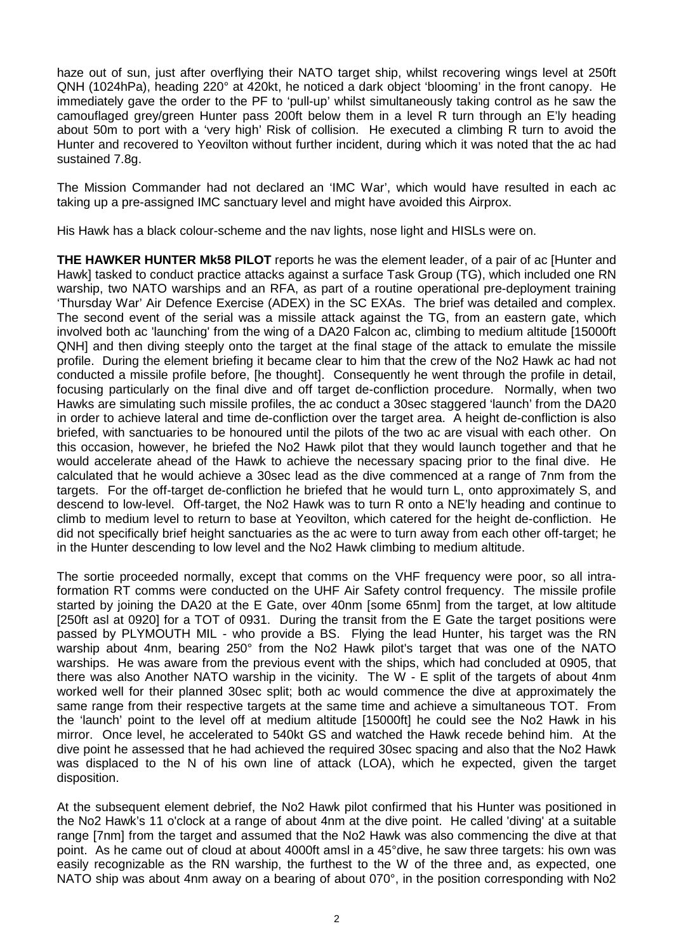haze out of sun, just after overflying their NATO target ship, whilst recovering wings level at 250ft QNH (1024hPa), heading 220° at 420kt, he noticed a dark object 'blooming' in the front canopy. He immediately gave the order to the PF to 'pull-up' whilst simultaneously taking control as he saw the camouflaged grey/green Hunter pass 200ft below them in a level R turn through an E'ly heading about 50m to port with a 'very high' Risk of collision. He executed a climbing R turn to avoid the Hunter and recovered to Yeovilton without further incident, during which it was noted that the ac had sustained 7.8g.

The Mission Commander had not declared an 'IMC War', which would have resulted in each ac taking up a pre-assigned IMC sanctuary level and might have avoided this Airprox.

His Hawk has a black colour-scheme and the nav lights, nose light and HISLs were on.

**THE HAWKER HUNTER Mk58 PILOT** reports he was the element leader, of a pair of ac [Hunter and Hawk] tasked to conduct practice attacks against a surface Task Group (TG), which included one RN warship, two NATO warships and an RFA, as part of a routine operational pre-deployment training 'Thursday War' Air Defence Exercise (ADEX) in the SC EXAs. The brief was detailed and complex. The second event of the serial was a missile attack against the TG, from an eastern gate, which involved both ac 'launching' from the wing of a DA20 Falcon ac, climbing to medium altitude [15000ft QNH] and then diving steeply onto the target at the final stage of the attack to emulate the missile profile. During the element briefing it became clear to him that the crew of the No2 Hawk ac had not conducted a missile profile before, [he thought]. Consequently he went through the profile in detail, focusing particularly on the final dive and off target de-confliction procedure. Normally, when two Hawks are simulating such missile profiles, the ac conduct a 30sec staggered 'launch' from the DA20 in order to achieve lateral and time de-confliction over the target area. A height de-confliction is also briefed, with sanctuaries to be honoured until the pilots of the two ac are visual with each other. On this occasion, however, he briefed the No2 Hawk pilot that they would launch together and that he would accelerate ahead of the Hawk to achieve the necessary spacing prior to the final dive. He calculated that he would achieve a 30sec lead as the dive commenced at a range of 7nm from the targets. For the off-target de-confliction he briefed that he would turn L, onto approximately S, and descend to low-level. Off-target, the No2 Hawk was to turn R onto a NE'ly heading and continue to climb to medium level to return to base at Yeovilton, which catered for the height de-confliction. He did not specifically brief height sanctuaries as the ac were to turn away from each other off-target; he in the Hunter descending to low level and the No2 Hawk climbing to medium altitude.

The sortie proceeded normally, except that comms on the VHF frequency were poor, so all intraformation RT comms were conducted on the UHF Air Safety control frequency. The missile profile started by joining the DA20 at the E Gate, over 40nm [some 65nm] from the target, at low altitude [250ft asl at 0920] for a TOT of 0931. During the transit from the E Gate the target positions were passed by PLYMOUTH MIL - who provide a BS. Flying the lead Hunter, his target was the RN warship about 4nm, bearing 250° from the No2 Hawk pilot's target that was one of the NATO warships. He was aware from the previous event with the ships, which had concluded at 0905, that there was also Another NATO warship in the vicinity. The W - E split of the targets of about 4nm worked well for their planned 30sec split; both ac would commence the dive at approximately the same range from their respective targets at the same time and achieve a simultaneous TOT. From the 'launch' point to the level off at medium altitude [15000ft] he could see the No2 Hawk in his mirror. Once level, he accelerated to 540kt GS and watched the Hawk recede behind him. At the dive point he assessed that he had achieved the required 30sec spacing and also that the No2 Hawk was displaced to the N of his own line of attack (LOA), which he expected, given the target disposition.

At the subsequent element debrief, the No2 Hawk pilot confirmed that his Hunter was positioned in the No2 Hawk's 11 o'clock at a range of about 4nm at the dive point. He called 'diving' at a suitable range [7nm] from the target and assumed that the No2 Hawk was also commencing the dive at that point. As he came out of cloud at about 4000ft amsl in a 45°dive, he saw three targets: his own was easily recognizable as the RN warship, the furthest to the W of the three and, as expected, one NATO ship was about 4nm away on a bearing of about 070°, in the position corresponding with No2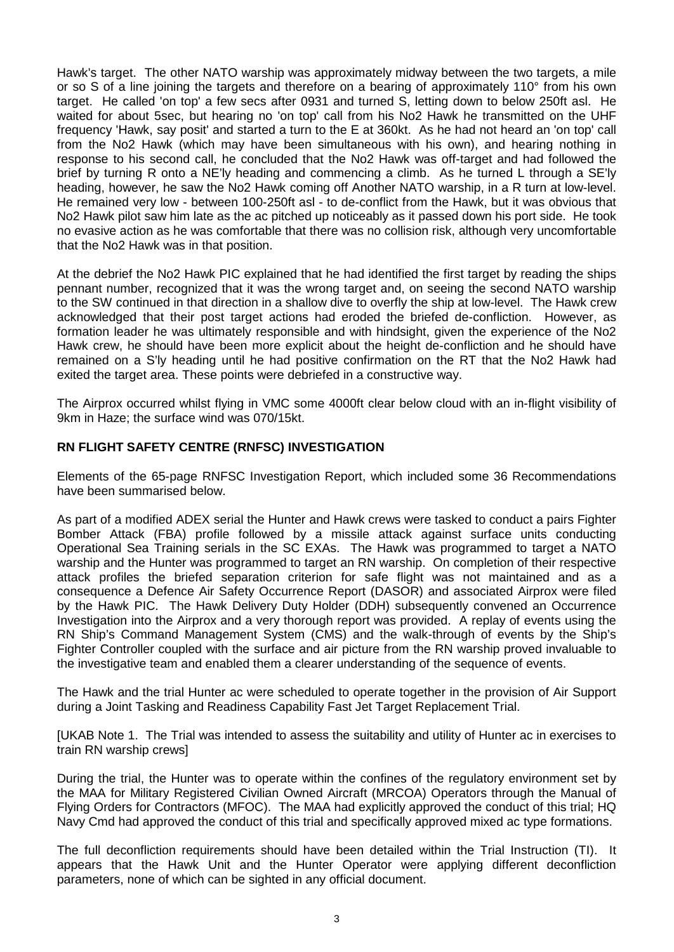Hawk's target. The other NATO warship was approximately midway between the two targets, a mile or so S of a line joining the targets and therefore on a bearing of approximately 110° from his own target. He called 'on top' a few secs after 0931 and turned S, letting down to below 250ft asl. He waited for about 5sec, but hearing no 'on top' call from his No2 Hawk he transmitted on the UHF frequency 'Hawk, say posit' and started a turn to the E at 360kt. As he had not heard an 'on top' call from the No2 Hawk (which may have been simultaneous with his own), and hearing nothing in response to his second call, he concluded that the No2 Hawk was off-target and had followed the brief by turning R onto a NE'ly heading and commencing a climb. As he turned L through a SE'ly heading, however, he saw the No2 Hawk coming off Another NATO warship, in a R turn at low-level. He remained very low - between 100-250ft asl - to de-conflict from the Hawk, but it was obvious that No2 Hawk pilot saw him late as the ac pitched up noticeably as it passed down his port side. He took no evasive action as he was comfortable that there was no collision risk, although very uncomfortable that the No2 Hawk was in that position.

At the debrief the No2 Hawk PIC explained that he had identified the first target by reading the ships pennant number, recognized that it was the wrong target and, on seeing the second NATO warship to the SW continued in that direction in a shallow dive to overfly the ship at low-level. The Hawk crew acknowledged that their post target actions had eroded the briefed de-confliction. However, as formation leader he was ultimately responsible and with hindsight, given the experience of the No2 Hawk crew, he should have been more explicit about the height de-confliction and he should have remained on a S'ly heading until he had positive confirmation on the RT that the No2 Hawk had exited the target area. These points were debriefed in a constructive way.

The Airprox occurred whilst flying in VMC some 4000ft clear below cloud with an in-flight visibility of 9km in Haze; the surface wind was 070/15kt.

# **RN FLIGHT SAFETY CENTRE (RNFSC) INVESTIGATION**

Elements of the 65-page RNFSC Investigation Report, which included some 36 Recommendations have been summarised below.

As part of a modified ADEX serial the Hunter and Hawk crews were tasked to conduct a pairs Fighter Bomber Attack (FBA) profile followed by a missile attack against surface units conducting Operational Sea Training serials in the SC EXAs. The Hawk was programmed to target a NATO warship and the Hunter was programmed to target an RN warship. On completion of their respective attack profiles the briefed separation criterion for safe flight was not maintained and as a consequence a Defence Air Safety Occurrence Report (DASOR) and associated Airprox were filed by the Hawk PIC. The Hawk Delivery Duty Holder (DDH) subsequently convened an Occurrence Investigation into the Airprox and a very thorough report was provided. A replay of events using the RN Ship's Command Management System (CMS) and the walk-through of events by the Ship's Fighter Controller coupled with the surface and air picture from the RN warship proved invaluable to the investigative team and enabled them a clearer understanding of the sequence of events.

The Hawk and the trial Hunter ac were scheduled to operate together in the provision of Air Support during a Joint Tasking and Readiness Capability Fast Jet Target Replacement Trial.

[UKAB Note 1. The Trial was intended to assess the suitability and utility of Hunter ac in exercises to train RN warship crews]

During the trial, the Hunter was to operate within the confines of the regulatory environment set by the MAA for Military Registered Civilian Owned Aircraft (MRCOA) Operators through the Manual of Flying Orders for Contractors (MFOC). The MAA had explicitly approved the conduct of this trial; HQ Navy Cmd had approved the conduct of this trial and specifically approved mixed ac type formations.

The full deconfliction requirements should have been detailed within the Trial Instruction (TI). It appears that the Hawk Unit and the Hunter Operator were applying different deconfliction parameters, none of which can be sighted in any official document.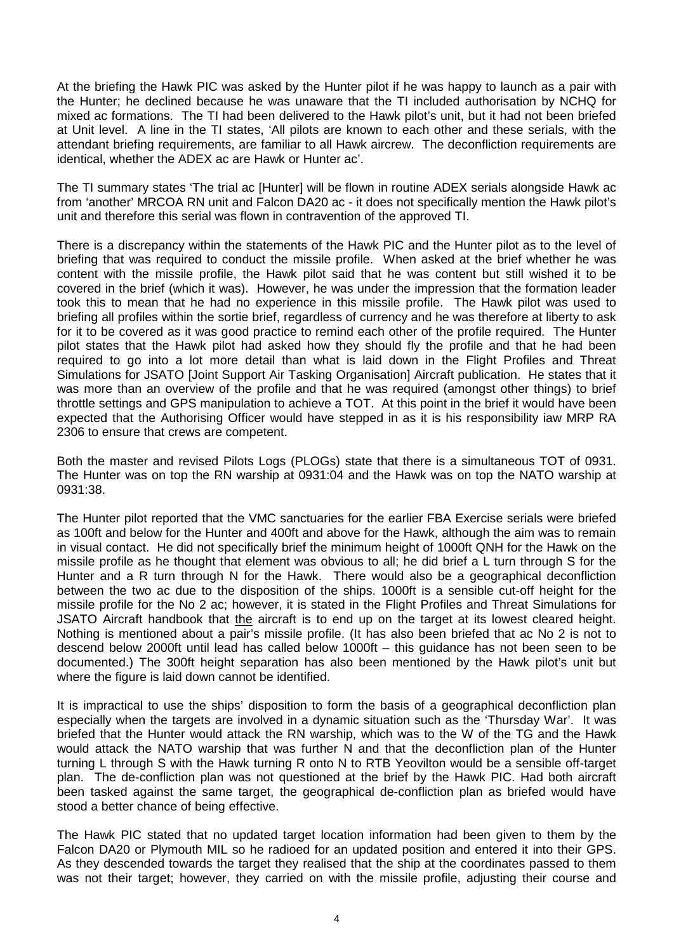At the briefing the Hawk PIC was asked by the Hunter pilot if he was happy to launch as a pair with the Hunter; he declined because he was unaware that the TI included authorisation by NCHQ for mixed ac formations. The TI had been delivered to the Hawk pilot's unit, but it had not been briefed at Unit level. A line in the TI states, 'All pilots are known to each other and these serials, with the attendant briefing requirements, are familiar to all Hawk aircrew. The deconfliction requirements are identical, whether the ADEX ac are Hawk or Hunter ac'.

The TI summary states 'The trial ac [Hunter] will be flown in routine ADEX serials alongside Hawk ac from 'another' MRCOA RN unit and Falcon DA20 ac - it does not specifically mention the Hawk pilot's unit and therefore this serial was flown in contravention of the approved TI.

There is a discrepancy within the statements of the Hawk PIC and the Hunter pilot as to the level of briefing that was required to conduct the missile profile. When asked at the brief whether he was content with the missile profile, the Hawk pilot said that he was content but still wished it to be covered in the brief (which it was). However, he was under the impression that the formation leader took this to mean that he had no experience in this missile profile. The Hawk pilot was used to briefing all profiles within the sortie brief, regardless of currency and he was therefore at liberty to ask for it to be covered as it was good practice to remind each other of the profile required. The Hunter pilot states that the Hawk pilot had asked how they should fly the profile and that he had been required to go into a lot more detail than what is laid down in the Flight Profiles and Threat Simulations for JSATO [Joint Support Air Tasking Organisation] Aircraft publication. He states that it was more than an overview of the profile and that he was required (amongst other things) to brief throttle settings and GPS manipulation to achieve a TOT. At this point in the brief it would have been expected that the Authorising Officer would have stepped in as it is his responsibility iaw MRP RA 2306 to ensure that crews are competent.

Both the master and revised Pilots Logs (PLOGs) state that there is a simultaneous TOT of 0931. The Hunter was on top the RN warship at 0931:04 and the Hawk was on top the NATO warship at 0931:38.

The Hunter pilot reported that the VMC sanctuaries for the earlier FBA Exercise serials were briefed as 100ft and below for the Hunter and 400ft and above for the Hawk, although the aim was to remain in visual contact. He did not specifically brief the minimum height of 1000ft QNH for the Hawk on the missile profile as he thought that element was obvious to all; he did brief a L turn through S for the Hunter and a R turn through N for the Hawk. There would also be a geographical deconfliction between the two ac due to the disposition of the ships. 1000ft is a sensible cut-off height for the missile profile for the No 2 ac; however, it is stated in the Flight Profiles and Threat Simulations for JSATO Aircraft handbook that the aircraft is to end up on the target at its lowest cleared height. Nothing is mentioned about a pair's missile profile. (It has also been briefed that ac No 2 is not to descend below 2000ft until lead has called below 1000ft – this guidance has not been seen to be documented.) The 300ft height separation has also been mentioned by the Hawk pilot's unit but where the figure is laid down cannot be identified.

It is impractical to use the ships' disposition to form the basis of a geographical deconfliction plan especially when the targets are involved in a dynamic situation such as the 'Thursday War'. It was briefed that the Hunter would attack the RN warship, which was to the W of the TG and the Hawk would attack the NATO warship that was further N and that the deconfliction plan of the Hunter turning L through S with the Hawk turning R onto N to RTB Yeovilton would be a sensible off-target plan. The de-confliction plan was not questioned at the brief by the Hawk PIC. Had both aircraft been tasked against the same target, the geographical de-confliction plan as briefed would have stood a better chance of being effective.

The Hawk PIC stated that no updated target location information had been given to them by the Falcon DA20 or Plymouth MIL so he radioed for an updated position and entered it into their GPS. As they descended towards the target they realised that the ship at the coordinates passed to them was not their target; however, they carried on with the missile profile, adjusting their course and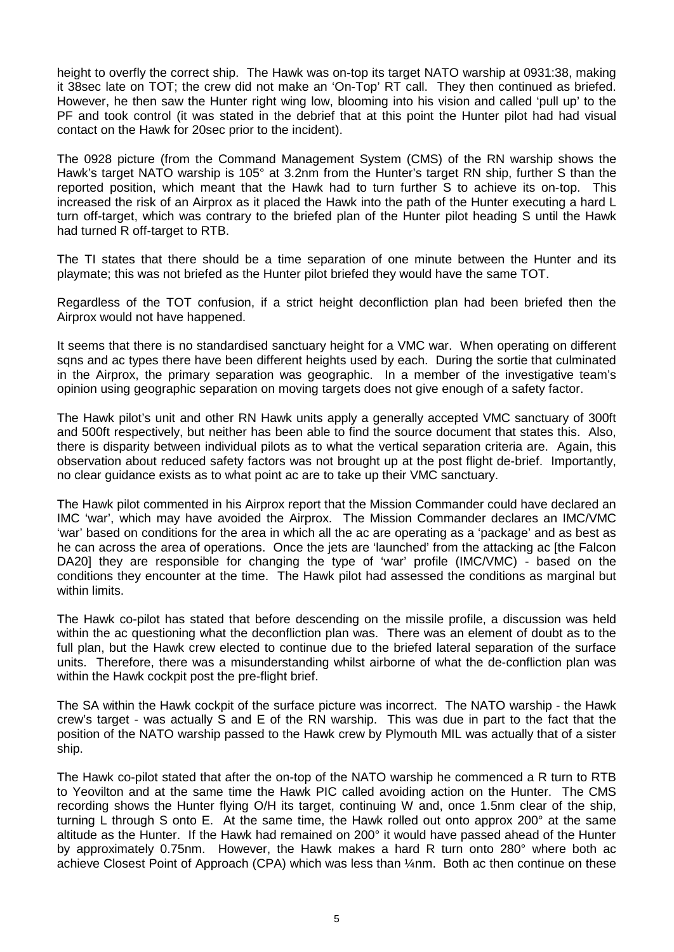height to overfly the correct ship. The Hawk was on-top its target NATO warship at 0931:38, making it 38sec late on TOT; the crew did not make an 'On-Top' RT call. They then continued as briefed. However, he then saw the Hunter right wing low, blooming into his vision and called 'pull up' to the PF and took control (it was stated in the debrief that at this point the Hunter pilot had had visual contact on the Hawk for 20sec prior to the incident).

The 0928 picture (from the Command Management System (CMS) of the RN warship shows the Hawk's target NATO warship is 105° at 3.2nm from the Hunter's target RN ship, further S than the reported position, which meant that the Hawk had to turn further S to achieve its on-top. This increased the risk of an Airprox as it placed the Hawk into the path of the Hunter executing a hard L turn off-target, which was contrary to the briefed plan of the Hunter pilot heading S until the Hawk had turned R off-target to RTB.

The TI states that there should be a time separation of one minute between the Hunter and its playmate; this was not briefed as the Hunter pilot briefed they would have the same TOT.

Regardless of the TOT confusion, if a strict height deconfliction plan had been briefed then the Airprox would not have happened.

It seems that there is no standardised sanctuary height for a VMC war. When operating on different sqns and ac types there have been different heights used by each. During the sortie that culminated in the Airprox, the primary separation was geographic. In a member of the investigative team's opinion using geographic separation on moving targets does not give enough of a safety factor.

The Hawk pilot's unit and other RN Hawk units apply a generally accepted VMC sanctuary of 300ft and 500ft respectively, but neither has been able to find the source document that states this. Also, there is disparity between individual pilots as to what the vertical separation criteria are. Again, this observation about reduced safety factors was not brought up at the post flight de-brief. Importantly, no clear guidance exists as to what point ac are to take up their VMC sanctuary.

The Hawk pilot commented in his Airprox report that the Mission Commander could have declared an IMC 'war', which may have avoided the Airprox. The Mission Commander declares an IMC/VMC 'war' based on conditions for the area in which all the ac are operating as a 'package' and as best as he can across the area of operations. Once the jets are 'launched' from the attacking ac [the Falcon DA20] they are responsible for changing the type of 'war' profile (IMC/VMC) - based on the conditions they encounter at the time. The Hawk pilot had assessed the conditions as marginal but within limits.

The Hawk co-pilot has stated that before descending on the missile profile, a discussion was held within the ac questioning what the deconfliction plan was. There was an element of doubt as to the full plan, but the Hawk crew elected to continue due to the briefed lateral separation of the surface units. Therefore, there was a misunderstanding whilst airborne of what the de-confliction plan was within the Hawk cockpit post the pre-flight brief.

The SA within the Hawk cockpit of the surface picture was incorrect. The NATO warship - the Hawk crew's target - was actually S and E of the RN warship. This was due in part to the fact that the position of the NATO warship passed to the Hawk crew by Plymouth MIL was actually that of a sister ship.

The Hawk co-pilot stated that after the on-top of the NATO warship he commenced a R turn to RTB to Yeovilton and at the same time the Hawk PIC called avoiding action on the Hunter. The CMS recording shows the Hunter flying O/H its target, continuing W and, once 1.5nm clear of the ship, turning L through S onto E. At the same time, the Hawk rolled out onto approx 200° at the same altitude as the Hunter. If the Hawk had remained on 200° it would have passed ahead of the Hunter by approximately 0.75nm. However, the Hawk makes a hard R turn onto 280° where both ac achieve Closest Point of Approach (CPA) which was less than ¼nm. Both ac then continue on these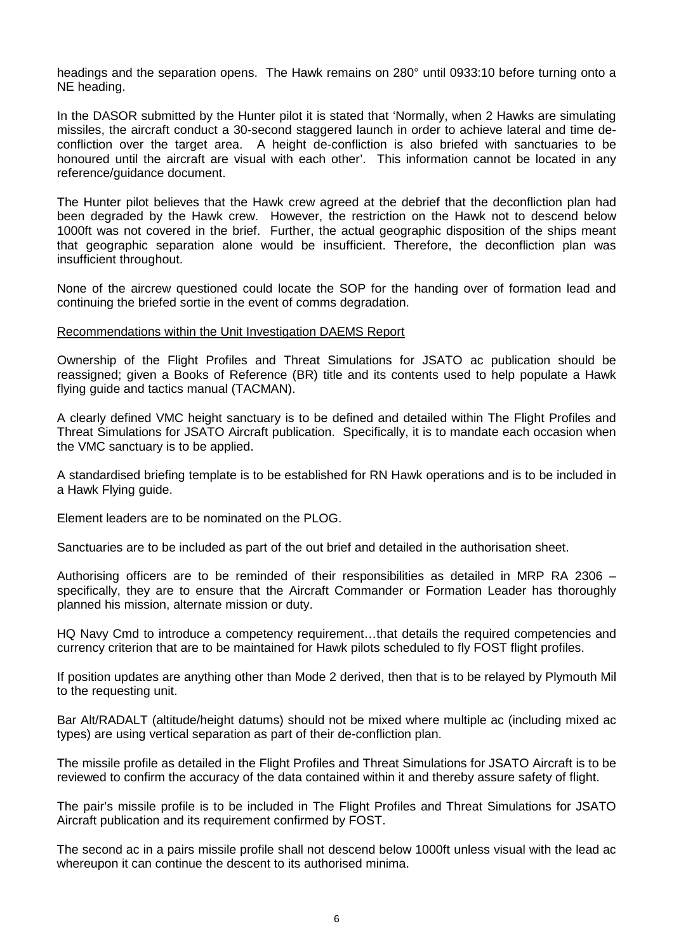headings and the separation opens.The Hawk remains on 280° until 0933:10 before turning onto a NE heading.

In the DASOR submitted by the Hunter pilot it is stated that 'Normally, when 2 Hawks are simulating missiles, the aircraft conduct a 30-second staggered launch in order to achieve lateral and time deconfliction over the target area. A height de-confliction is also briefed with sanctuaries to be honoured until the aircraft are visual with each other'. This information cannot be located in any reference/guidance document.

The Hunter pilot believes that the Hawk crew agreed at the debrief that the deconfliction plan had been degraded by the Hawk crew. However, the restriction on the Hawk not to descend below 1000ft was not covered in the brief. Further, the actual geographic disposition of the ships meant that geographic separation alone would be insufficient. Therefore, the deconfliction plan was insufficient throughout.

None of the aircrew questioned could locate the SOP for the handing over of formation lead and continuing the briefed sortie in the event of comms degradation.

#### Recommendations within the Unit Investigation DAEMS Report

Ownership of the Flight Profiles and Threat Simulations for JSATO ac publication should be reassigned; given a Books of Reference (BR) title and its contents used to help populate a Hawk flying guide and tactics manual (TACMAN).

A clearly defined VMC height sanctuary is to be defined and detailed within The Flight Profiles and Threat Simulations for JSATO Aircraft publication. Specifically, it is to mandate each occasion when the VMC sanctuary is to be applied.

A standardised briefing template is to be established for RN Hawk operations and is to be included in a Hawk Flying guide.

Element leaders are to be nominated on the PLOG.

Sanctuaries are to be included as part of the out brief and detailed in the authorisation sheet.

Authorising officers are to be reminded of their responsibilities as detailed in MRP RA 2306 – specifically, they are to ensure that the Aircraft Commander or Formation Leader has thoroughly planned his mission, alternate mission or duty.

HQ Navy Cmd to introduce a competency requirement…that details the required competencies and currency criterion that are to be maintained for Hawk pilots scheduled to fly FOST flight profiles.

If position updates are anything other than Mode 2 derived, then that is to be relayed by Plymouth Mil to the requesting unit.

Bar Alt/RADALT (altitude/height datums) should not be mixed where multiple ac (including mixed ac types) are using vertical separation as part of their de-confliction plan.

The missile profile as detailed in the Flight Profiles and Threat Simulations for JSATO Aircraft is to be reviewed to confirm the accuracy of the data contained within it and thereby assure safety of flight.

The pair's missile profile is to be included in The Flight Profiles and Threat Simulations for JSATO Aircraft publication and its requirement confirmed by FOST.

The second ac in a pairs missile profile shall not descend below 1000ft unless visual with the lead ac whereupon it can continue the descent to its authorised minima.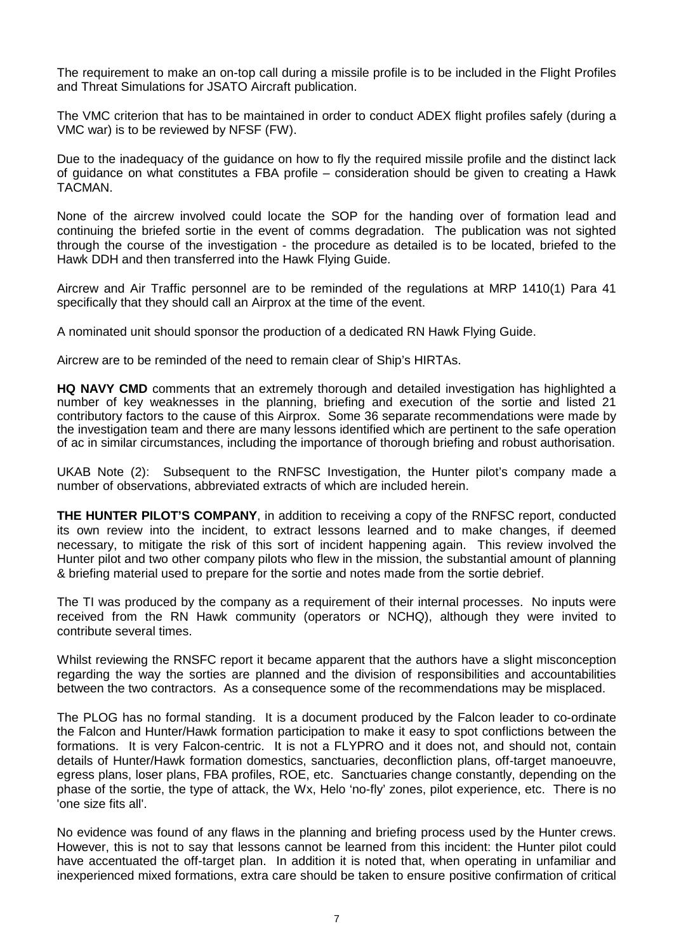The requirement to make an on-top call during a missile profile is to be included in the Flight Profiles and Threat Simulations for JSATO Aircraft publication.

The VMC criterion that has to be maintained in order to conduct ADEX flight profiles safely (during a VMC war) is to be reviewed by NFSF (FW).

Due to the inadequacy of the guidance on how to fly the required missile profile and the distinct lack of guidance on what constitutes a FBA profile – consideration should be given to creating a Hawk TACMAN.

None of the aircrew involved could locate the SOP for the handing over of formation lead and continuing the briefed sortie in the event of comms degradation. The publication was not sighted through the course of the investigation - the procedure as detailed is to be located, briefed to the Hawk DDH and then transferred into the Hawk Flying Guide.

Aircrew and Air Traffic personnel are to be reminded of the regulations at MRP 1410(1) Para 41 specifically that they should call an Airprox at the time of the event.

A nominated unit should sponsor the production of a dedicated RN Hawk Flying Guide.

Aircrew are to be reminded of the need to remain clear of Ship's HIRTAs.

**HQ NAVY CMD** comments that an extremely thorough and detailed investigation has highlighted a number of key weaknesses in the planning, briefing and execution of the sortie and listed 21 contributory factors to the cause of this Airprox. Some 36 separate recommendations were made by the investigation team and there are many lessons identified which are pertinent to the safe operation of ac in similar circumstances, including the importance of thorough briefing and robust authorisation.

UKAB Note (2): Subsequent to the RNFSC Investigation, the Hunter pilot's company made a number of observations, abbreviated extracts of which are included herein.

**THE HUNTER PILOT'S COMPANY**, in addition to receiving a copy of the RNFSC report, conducted its own review into the incident, to extract lessons learned and to make changes, if deemed necessary, to mitigate the risk of this sort of incident happening again. This review involved the Hunter pilot and two other company pilots who flew in the mission, the substantial amount of planning & briefing material used to prepare for the sortie and notes made from the sortie debrief.

The TI was produced by the company as a requirement of their internal processes. No inputs were received from the RN Hawk community (operators or NCHQ), although they were invited to contribute several times.

Whilst reviewing the RNSFC report it became apparent that the authors have a slight misconception regarding the way the sorties are planned and the division of responsibilities and accountabilities between the two contractors. As a consequence some of the recommendations may be misplaced.

The PLOG has no formal standing. It is a document produced by the Falcon leader to co-ordinate the Falcon and Hunter/Hawk formation participation to make it easy to spot conflictions between the formations. It is very Falcon-centric. It is not a FLYPRO and it does not, and should not, contain details of Hunter/Hawk formation domestics, sanctuaries, deconfliction plans, off-target manoeuvre, egress plans, loser plans, FBA profiles, ROE, etc. Sanctuaries change constantly, depending on the phase of the sortie, the type of attack, the Wx, Helo 'no-fly' zones, pilot experience, etc. There is no 'one size fits all'.

No evidence was found of any flaws in the planning and briefing process used by the Hunter crews. However, this is not to say that lessons cannot be learned from this incident: the Hunter pilot could have accentuated the off-target plan. In addition it is noted that, when operating in unfamiliar and inexperienced mixed formations, extra care should be taken to ensure positive confirmation of critical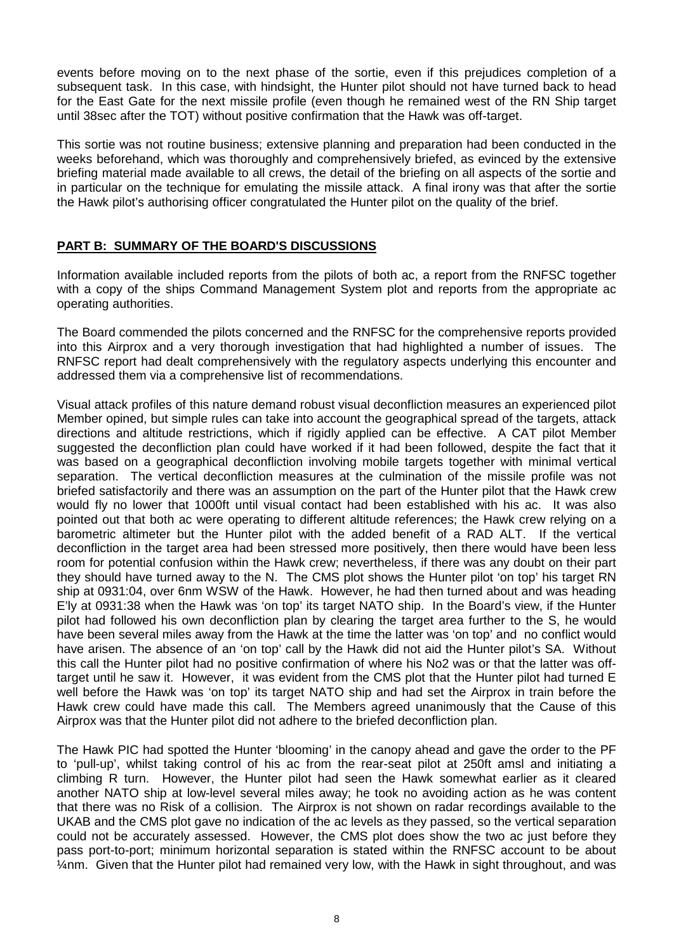events before moving on to the next phase of the sortie, even if this prejudices completion of a subsequent task. In this case, with hindsight, the Hunter pilot should not have turned back to head for the East Gate for the next missile profile (even though he remained west of the RN Ship target until 38sec after the TOT) without positive confirmation that the Hawk was off-target.

This sortie was not routine business; extensive planning and preparation had been conducted in the weeks beforehand, which was thoroughly and comprehensively briefed, as evinced by the extensive briefing material made available to all crews, the detail of the briefing on all aspects of the sortie and in particular on the technique for emulating the missile attack. A final irony was that after the sortie the Hawk pilot's authorising officer congratulated the Hunter pilot on the quality of the brief.

# **PART B: SUMMARY OF THE BOARD'S DISCUSSIONS**

Information available included reports from the pilots of both ac, a report from the RNFSC together with a copy of the ships Command Management System plot and reports from the appropriate ac operating authorities.

The Board commended the pilots concerned and the RNFSC for the comprehensive reports provided into this Airprox and a very thorough investigation that had highlighted a number of issues. The RNFSC report had dealt comprehensively with the regulatory aspects underlying this encounter and addressed them via a comprehensive list of recommendations.

Visual attack profiles of this nature demand robust visual deconfliction measures an experienced pilot Member opined, but simple rules can take into account the geographical spread of the targets, attack directions and altitude restrictions, which if rigidly applied can be effective. A CAT pilot Member suggested the deconfliction plan could have worked if it had been followed, despite the fact that it was based on a geographical deconfliction involving mobile targets together with minimal vertical separation. The vertical deconfliction measures at the culmination of the missile profile was not briefed satisfactorily and there was an assumption on the part of the Hunter pilot that the Hawk crew would fly no lower that 1000ft until visual contact had been established with his ac. It was also pointed out that both ac were operating to different altitude references; the Hawk crew relying on a barometric altimeter but the Hunter pilot with the added benefit of a RAD ALT. If the vertical deconfliction in the target area had been stressed more positively, then there would have been less room for potential confusion within the Hawk crew; nevertheless, if there was any doubt on their part they should have turned away to the N. The CMS plot shows the Hunter pilot 'on top' his target RN ship at 0931:04, over 6nm WSW of the Hawk. However, he had then turned about and was heading E'ly at 0931:38 when the Hawk was 'on top' its target NATO ship. In the Board's view, if the Hunter pilot had followed his own deconfliction plan by clearing the target area further to the S, he would have been several miles away from the Hawk at the time the latter was 'on top' and no conflict would have arisen. The absence of an 'on top' call by the Hawk did not aid the Hunter pilot's SA. Without this call the Hunter pilot had no positive confirmation of where his No2 was or that the latter was offtarget until he saw it. However, it was evident from the CMS plot that the Hunter pilot had turned E well before the Hawk was 'on top' its target NATO ship and had set the Airprox in train before the Hawk crew could have made this call. The Members agreed unanimously that the Cause of this Airprox was that the Hunter pilot did not adhere to the briefed deconfliction plan.

The Hawk PIC had spotted the Hunter 'blooming' in the canopy ahead and gave the order to the PF to 'pull-up', whilst taking control of his ac from the rear-seat pilot at 250ft amsl and initiating a climbing R turn. However, the Hunter pilot had seen the Hawk somewhat earlier as it cleared another NATO ship at low-level several miles away; he took no avoiding action as he was content that there was no Risk of a collision. The Airprox is not shown on radar recordings available to the UKAB and the CMS plot gave no indication of the ac levels as they passed, so the vertical separation could not be accurately assessed. However, the CMS plot does show the two ac just before they pass port-to-port; minimum horizontal separation is stated within the RNFSC account to be about ¼nm. Given that the Hunter pilot had remained very low, with the Hawk in sight throughout, and was